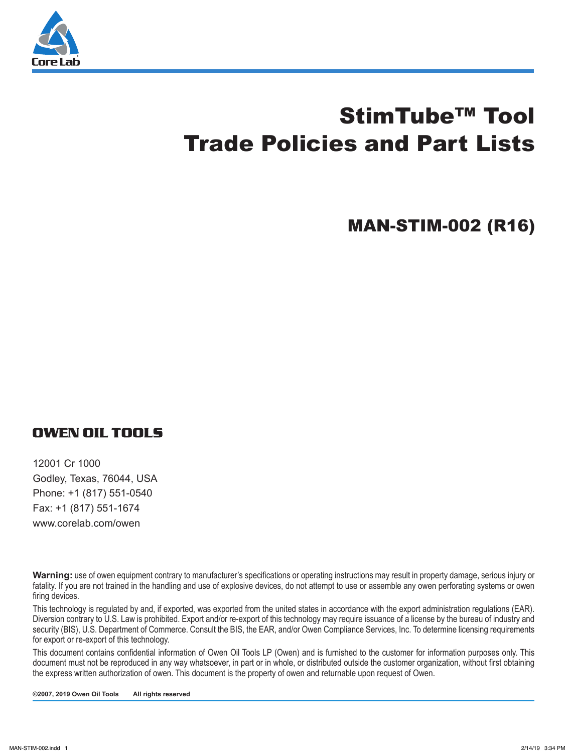

# StimTube™ Tool Trade Policies and Part Lists

MAN-STIM-002 (R16)

#### **OWEN OIL TOOLS**

12001 Cr 1000 Godley, Texas, 76044, USA Phone: +1 (817) 551-0540 Fax: +1 (817) 551-1674 www.corelab.com/owen

**Warning:** use of owen equipment contrary to manufacturer's specifications or operating instructions may result in property damage, serious injury or fatality. If you are not trained in the handling and use of explosive devices, do not attempt to use or assemble any owen perforating systems or owen firing devices.

This technology is regulated by and, if exported, was exported from the united states in accordance with the export administration regulations (EAR). Diversion contrary to U.S. Law is prohibited. Export and/or re-export of this technology may require issuance of a license by the bureau of industry and security (BIS), U.S. Department of Commerce. Consult the BIS, the EAR, and/or Owen Compliance Services, Inc. To determine licensing requirements for export or re-export of this technology.

This document contains confidential information of Owen Oil Tools LP (Owen) and is furnished to the customer for information purposes only. This document must not be reproduced in any way whatsoever, in part or in whole, or distributed outside the customer organization, without first obtaining the express written authorization of owen. This document is the property of owen and returnable upon request of Owen.

**©2007, 2019 Owen Oil Tools All rights reserved**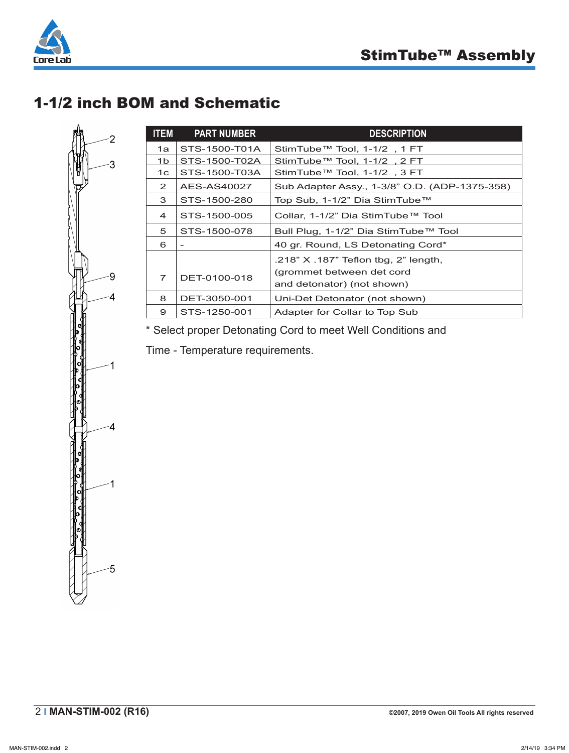

# 1-1/2 inch BOM and Schematic

| <b>ITEM</b>    | <b>PART NUMBER</b> | <b>DESCRIPTION</b>                                                                              |
|----------------|--------------------|-------------------------------------------------------------------------------------------------|
| 1a             | STS-1500-T01A      | StimTube™ Tool, 1-1/2, 1 FT                                                                     |
| 1b.            | STS-1500-T02A      | StimTube™ Tool, 1-1/2, 2 FT                                                                     |
| 1с.            | STS-1500-T03A      | StimTube™ Tool, 1-1/2, 3 FT                                                                     |
| 2              | AES-AS40027        | Sub Adapter Assy., 1-3/8" O.D. (ADP-1375-358)                                                   |
| 3              | STS-1500-280       | Top Sub, 1-1/2" Dia StimTube™                                                                   |
| $\overline{4}$ | STS-1500-005       | Collar, 1-1/2" Dia StimTube™ Tool                                                               |
| 5              | STS-1500-078       | Bull Plug, 1-1/2" Dia StimTube™ Tool                                                            |
| 6              |                    | 40 gr. Round, LS Detonating Cord*                                                               |
| $\overline{7}$ | DET-0100-018       | .218" X .187" Teflon tbg, 2" length,<br>(grommet between det cord<br>and detonator) (not shown) |
| 8              | DET-3050-001       | Uni-Det Detonator (not shown)                                                                   |
| 9              | STS-1250-001       | Adapter for Collar to Top Sub                                                                   |
|                |                    |                                                                                                 |

\* Select proper Detonating Cord to meet Well Conditions and

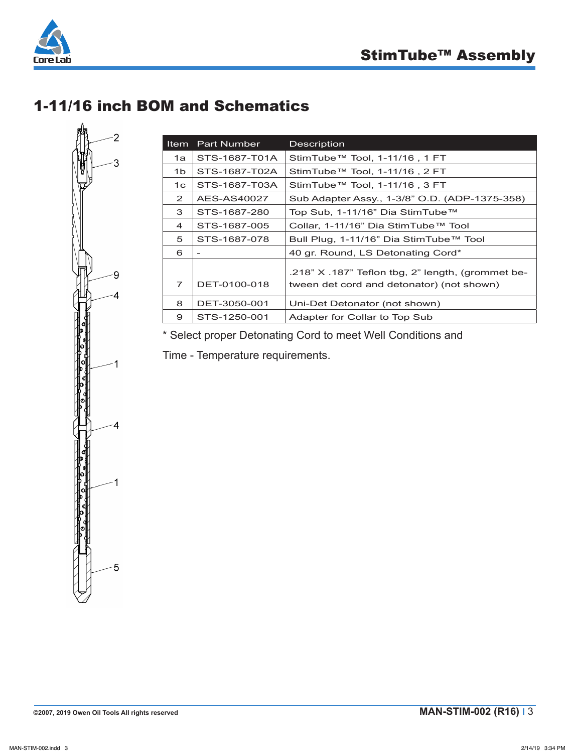



# 1-11/16 inch BOM and Schematics

| S<br>ŀ                   |  |
|--------------------------|--|
| י<br> }<br> }<br>١<br>-4 |  |
| 1                        |  |
| $\cdot$                  |  |
| 1<br>ŕ                   |  |
| ı                        |  |

| ltem | <b>Part Number</b>       | Description                                                                                        |
|------|--------------------------|----------------------------------------------------------------------------------------------------|
| 1a   | STS-1687-T01A            | StimTube™ Tool, 1-11/16, 1 FT                                                                      |
| 1b.  | STS-1687-T02A            | StimTube™ Tool, 1-11/16, 2 FT                                                                      |
| 1c   | STS-1687-T03A            | StimTube™ Tool, 1-11/16, 3 FT                                                                      |
| 2    | AES-AS40027              | Sub Adapter Assy., 1-3/8" O.D. (ADP-1375-358)                                                      |
| 3    | STS-1687-280             | Top Sub, 1-11/16" Dia StimTube™                                                                    |
| 4    | STS-1687-005             | Collar, 1-11/16" Dia StimTube™ Tool                                                                |
| 5    | STS-1687-078             | Bull Plug, 1-11/16" Dia StimTube™ Tool                                                             |
| 6    | $\overline{\phantom{a}}$ | 40 gr. Round, LS Detonating Cord*                                                                  |
| 7    | DET-0100-018             | $.218"$ X $.187"$ Teflon tbg, 2" length, (grommet be-<br>tween det cord and detonator) (not shown) |
| 8    | DET-3050-001             | Uni-Det Detonator (not shown)                                                                      |
| 9    | STS-1250-001             | Adapter for Collar to Top Sub                                                                      |

\* Select proper Detonating Cord to meet Well Conditions and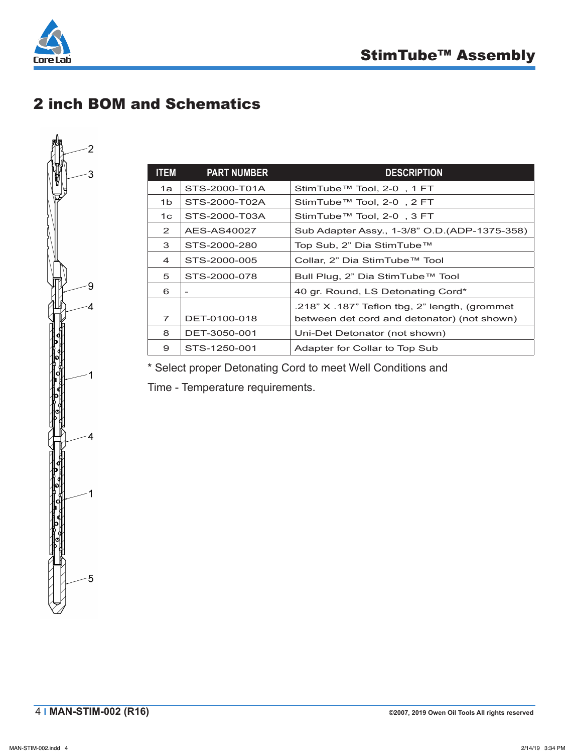

# 2 inch BOM and Schematics

| <b>ITEM</b>    | <b>PART NUMBER</b>       | <b>DESCRIPTION</b>                              |
|----------------|--------------------------|-------------------------------------------------|
| 1a             | STS-2000-T01A            | StimTube™ Tool, 2-0, 1 FT                       |
| 1 <sub>b</sub> | STS-2000-T02A            | StimTube™ Tool, 2-0, 2 FT                       |
| 1 <sup>c</sup> | STS-2000-T03A            | StimTube™ Tool, 2-0, 3 FT                       |
| $\mathbf{2}$   | AES-AS40027              | Sub Adapter Assy., 1-3/8" O.D. (ADP-1375-358)   |
| 3              | STS-2000-280             | Top Sub, 2" Dia StimTube™                       |
| $\overline{4}$ | STS-2000-005             | Collar, 2" Dia StimTube™ Tool                   |
| 5              | STS-2000-078             | Bull Plug, 2" Dia StimTube™ Tool                |
| 6              | $\overline{\phantom{a}}$ | 40 gr. Round, LS Detonating Cord*               |
|                |                          | .218" $X$ .187" Teflon tbg, 2" length, (grommet |
| 7              | DET-0100-018             | between det cord and detonator) (not shown)     |
| 8              | DET-3050-001             | Uni-Det Detonator (not shown)                   |
| 9              | STS-1250-001             | Adapter for Collar to Top Sub                   |

\* Select proper Detonating Cord to meet Well Conditions and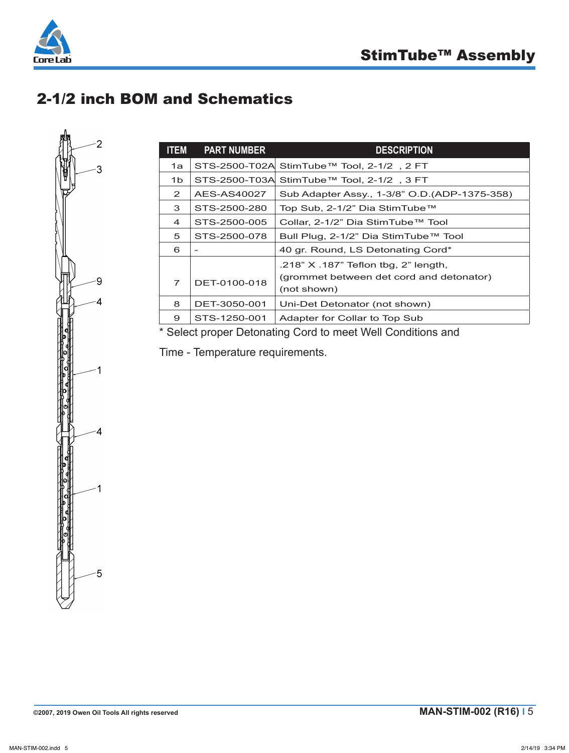

# 2-1/2 inch BOM and Schematics



| <b>ITEM</b>           | <b>PART NUMBER</b> | <b>DESCRIPTION</b>                                      |
|-----------------------|--------------------|---------------------------------------------------------|
| 1a                    |                    | STS-2500-T02A StimTube™ Tool, 2-1/2, 2 FT               |
| 1b.                   |                    | STS-2500-T03A StimTube™ Tool, 2-1/2, 3 FT               |
| $\mathbf{2}^{\prime}$ | AES-AS40027        | Sub Adapter Assy., 1-3/8" O.D. (ADP-1375-358)           |
| 3                     | STS-2500-280       | Top Sub, 2-1/2" Dia StimTube™                           |
| 4                     | STS-2500-005       | Collar, 2-1/2" Dia StimTube™ Tool                       |
| 5                     | STS-2500-078       | Bull Plug, 2-1/2" Dia StimTube™ Tool                    |
| 6                     | $\qquad \qquad$    | 40 gr. Round, LS Detonating Cord*                       |
|                       |                    | .218" X .187" Teflon tbg, 2" length,                    |
| 7                     | DET-0100-018       | (grommet between det cord and detonator)<br>(not shown) |
| 8                     | DET-3050-001       | Uni-Det Detonator (not shown)                           |
| 9                     | STS-1250-001       | Adapter for Collar to Top Sub                           |

\* Select proper Detonating Cord to meet Well Conditions and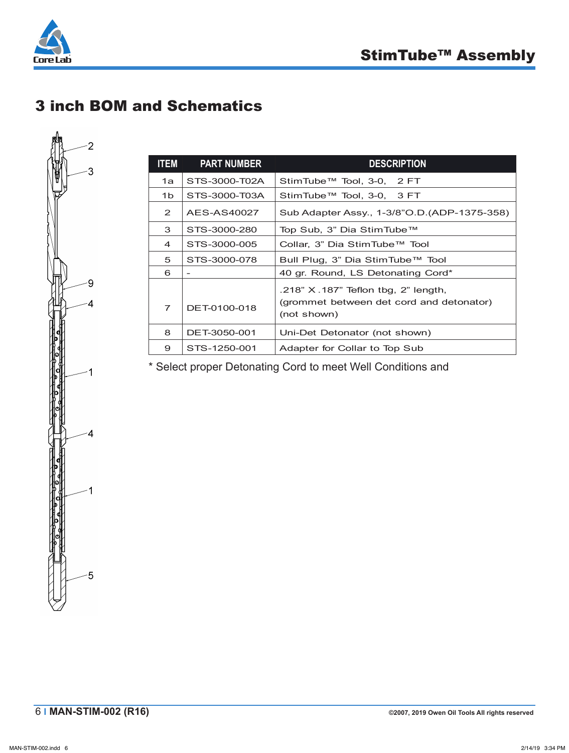

## 3 inch BOM and Schematics



| <b>ITEM</b>    | <b>PART NUMBER</b> | <b>DESCRIPTION</b>                                                                                  |
|----------------|--------------------|-----------------------------------------------------------------------------------------------------|
| 1a             | STS-3000-T02A      | StimTube™ Tool, 3-0, 2 FT                                                                           |
| 1b             | STS-3000-T03A      | StimTube™ Tool, 3-0, 3 FT                                                                           |
| 2              | AES-AS40027        | Sub Adapter Assy., 1-3/8"O.D. (ADP-1375-358)                                                        |
| 3              | STS-3000-280       | Top Sub, 3" Dia StimTube™                                                                           |
| 4              | STS-3000-005       | Collar, 3" Dia StimTube™ Tool                                                                       |
| 5              | STS-3000-078       | Bull Plug, 3" Dia StimTube™ Tool                                                                    |
| 6              |                    | 40 gr. Round, LS Detonating Cord*                                                                   |
| $\overline{7}$ | DET-0100-018       | $.218"$ X $.187"$ Teflon tbg, 2" length,<br>(grommet between det cord and detonator)<br>(not shown) |
| 8              | DET-3050-001       | Uni-Det Detonator (not shown)                                                                       |
| 9              | STS-1250-001       | Adapter for Collar to Top Sub                                                                       |

\* Select proper Detonating Cord to meet Well Conditions and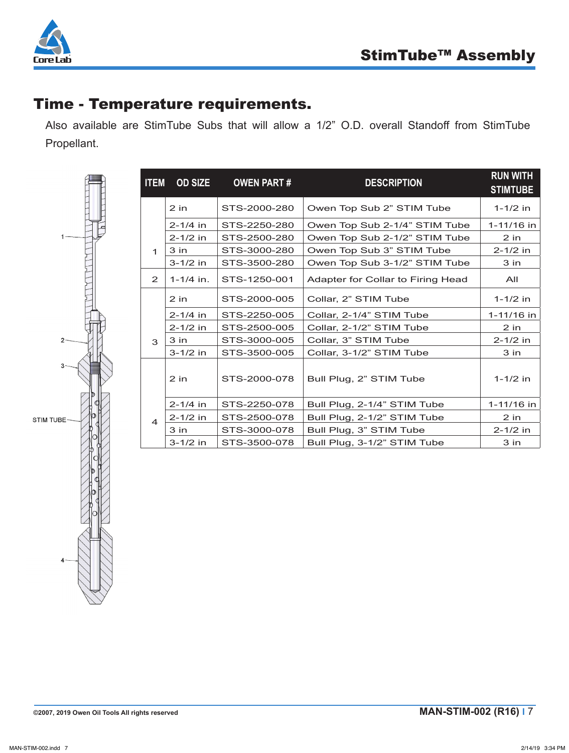

## Time - Temperature requirements.

Also available are StimTube Subs that will allow a 1/2" O.D. overall Standoff from StimTube Propellant.



| <b>ITEM</b>             | <b>OD SIZE</b> | <b>OWEN PART#</b> | <b>DESCRIPTION</b>                | <b>RUN WITH</b><br><b>STIMTUBE</b> |
|-------------------------|----------------|-------------------|-----------------------------------|------------------------------------|
|                         | $2$ in         | STS-2000-280      | Owen Top Sub 2" STIM Tube         | $1 - 1/2$ in                       |
|                         | $2 - 1/4$ in   | STS-2250-280      | Owen Top Sub 2-1/4" STIM Tube     | 1-11/16 in                         |
|                         | $2 - 1/2$ in   | STS-2500-280      | Owen Top Sub 2-1/2" STIM Tube     | $2$ in                             |
| 1                       | $3$ in         | STS-3000-280      | Owen Top Sub 3" STIM Tube         | $2 - 1/2$ in                       |
|                         | $3 - 1/2$ in   | STS-3500-280      | Owen Top Sub 3-1/2" STIM Tube     | $3$ in                             |
| 2                       | $1 - 1/4$ in.  | STS-1250-001      | Adapter for Collar to Firing Head | All                                |
|                         | $2$ in         | STS-2000-005      | Collar, 2" STIM Tube              | $1 - 1/2$ in                       |
|                         | $2 - 1/4$ in   | STS-2250-005      | Collar, 2-1/4" STIM Tube          | 1-11/16 in                         |
| 3                       | $2 - 1/2$ in   | STS-2500-005      | Collar, 2-1/2" STIM Tube          | $2$ in                             |
|                         | $3$ in         | STS-3000-005      | Collar, 3" STIM Tube              | $2 - 1/2$ in                       |
|                         | $3 - 1/2$ in   | STS-3500-005      | Collar, 3-1/2" STIM Tube          | $3$ in                             |
|                         | $2$ in         | STS-2000-078      | Bull Plug, 2" STIM Tube           | $1 - 1/2$ in                       |
| $\overline{\mathbf{4}}$ | $2 - 1/4$ in   | STS-2250-078      | Bull Plug, 2-1/4" STIM Tube       | 1-11/16 in                         |
|                         | $2 - 1/2$ in   | STS-2500-078      | Bull Plug, 2-1/2" STIM Tube       | $2$ in                             |
|                         | $3$ in         | STS-3000-078      | Bull Plug, 3" STIM Tube           | $2 - 1/2$ in                       |
|                         | $3 - 1/2$ in   | STS-3500-078      | Bull Plug, 3-1/2" STIM Tube       | 3 in                               |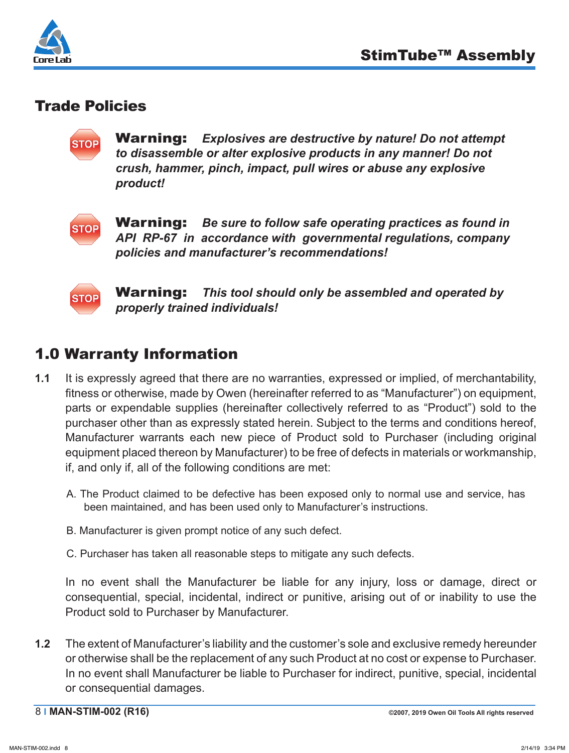

#### Trade Policies



Warning: *Explosives are destructive by nature! Do not attempt to disassemble or alter explosive products in any manner! Do not crush, hammer, pinch, impact, pull wires or abuse any explosive product!*



Warning: *Be sure to follow safe operating practices as found in API RP-67 in accordance with governmental regulations, company policies and manufacturer's recommendations!*



Warning: *This tool should only be assembled and operated by properly trained individuals!*

#### 1.0 Warranty Information

- **1.1** It is expressly agreed that there are no warranties, expressed or implied, of merchantability, fitness or otherwise, made by Owen (hereinafter referred to as "Manufacturer") on equipment, parts or expendable supplies (hereinafter collectively referred to as "Product") sold to the purchaser other than as expressly stated herein. Subject to the terms and conditions hereof, Manufacturer warrants each new piece of Product sold to Purchaser (including original equipment placed thereon by Manufacturer) to be free of defects in materials or workmanship, if, and only if, all of the following conditions are met:
	- A. The Product claimed to be defective has been exposed only to normal use and service, has been maintained, and has been used only to Manufacturer's instructions.
	- B. Manufacturer is given prompt notice of any such defect.
	- C. Purchaser has taken all reasonable steps to mitigate any such defects.

In no event shall the Manufacturer be liable for any injury, loss or damage, direct or consequential, special, incidental, indirect or punitive, arising out of or inability to use the Product sold to Purchaser by Manufacturer.

**1.2** The extent of Manufacturer's liability and the customer's sole and exclusive remedy hereunder or otherwise shall be the replacement of any such Product at no cost or expense to Purchaser. In no event shall Manufacturer be liable to Purchaser for indirect, punitive, special, incidental or consequential damages.

8 **I MAN-STIM-002 (R16) ©2007, 2019 Owen Oil Tools All rights reserved**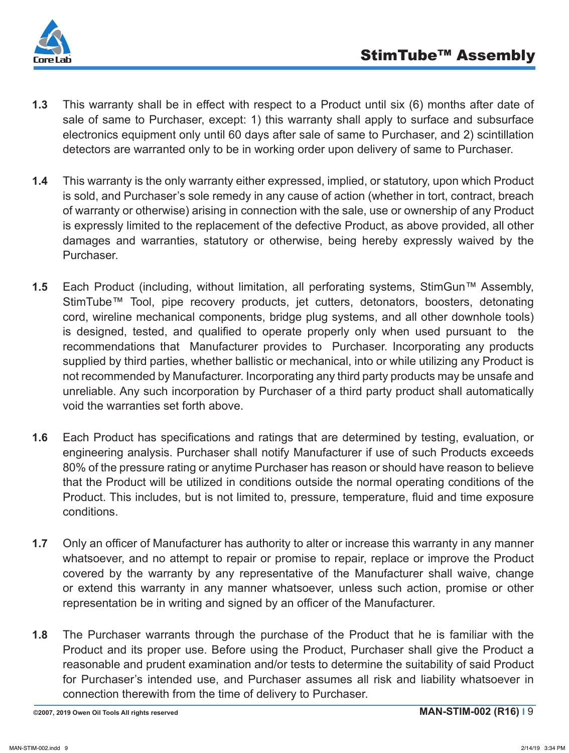

- **1.3** This warranty shall be in effect with respect to a Product until six (6) months after date of sale of same to Purchaser, except: 1) this warranty shall apply to surface and subsurface electronics equipment only until 60 days after sale of same to Purchaser, and 2) scintillation detectors are warranted only to be in working order upon delivery of same to Purchaser.
- **1.4** This warranty is the only warranty either expressed, implied, or statutory, upon which Product is sold, and Purchaser's sole remedy in any cause of action (whether in tort, contract, breach of warranty or otherwise) arising in connection with the sale, use or ownership of any Product is expressly limited to the replacement of the defective Product, as above provided, all other damages and warranties, statutory or otherwise, being hereby expressly waived by the Purchaser.
- **1.5** Each Product (including, without limitation, all perforating systems, StimGun™ Assembly, StimTube™ Tool, pipe recovery products, jet cutters, detonators, boosters, detonating cord, wireline mechanical components, bridge plug systems, and all other downhole tools) is designed, tested, and qualified to operate properly only when used pursuant to the recommendations that Manufacturer provides to Purchaser. Incorporating any products supplied by third parties, whether ballistic or mechanical, into or while utilizing any Product is not recommended by Manufacturer. Incorporating any third party products may be unsafe and unreliable. Any such incorporation by Purchaser of a third party product shall automatically void the warranties set forth above.
- **1.6** Each Product has specifications and ratings that are determined by testing, evaluation, or engineering analysis. Purchaser shall notify Manufacturer if use of such Products exceeds 80% of the pressure rating or anytime Purchaser has reason or should have reason to believe that the Product will be utilized in conditions outside the normal operating conditions of the Product. This includes, but is not limited to, pressure, temperature, fluid and time exposure conditions.
- **1.7** Only an officer of Manufacturer has authority to alter or increase this warranty in any manner whatsoever, and no attempt to repair or promise to repair, replace or improve the Product covered by the warranty by any representative of the Manufacturer shall waive, change or extend this warranty in any manner whatsoever, unless such action, promise or other representation be in writing and signed by an officer of the Manufacturer.
- **1.8** The Purchaser warrants through the purchase of the Product that he is familiar with the Product and its proper use. Before using the Product, Purchaser shall give the Product a reasonable and prudent examination and/or tests to determine the suitability of said Product for Purchaser's intended use, and Purchaser assumes all risk and liability whatsoever in connection therewith from the time of delivery to Purchaser.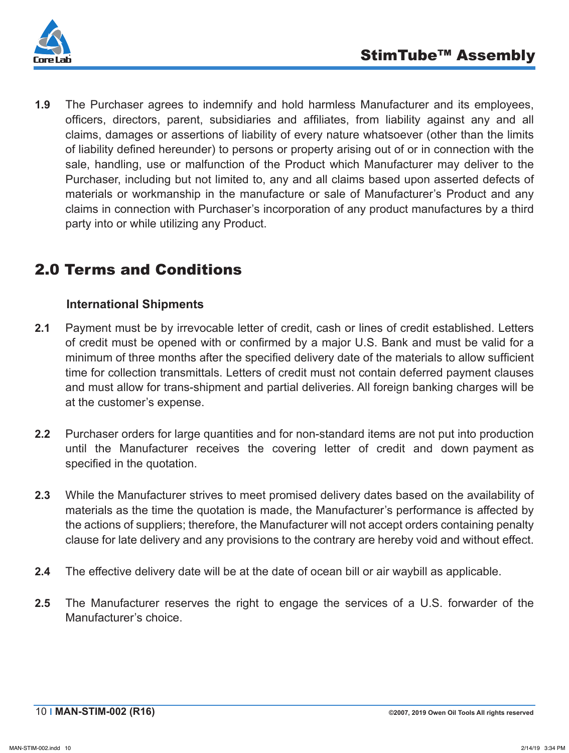

**1.9** The Purchaser agrees to indemnify and hold harmless Manufacturer and its employees, officers, directors, parent, subsidiaries and affiliates, from liability against any and all claims, damages or assertions of liability of every nature whatsoever (other than the limits of liability defined hereunder) to persons or property arising out of or in connection with the sale, handling, use or malfunction of the Product which Manufacturer may deliver to the Purchaser, including but not limited to, any and all claims based upon asserted defects of materials or workmanship in the manufacture or sale of Manufacturer's Product and any claims in connection with Purchaser's incorporation of any product manufactures by a third party into or while utilizing any Product.

## 2.0 Terms and Conditions

#### **International Shipments**

- **2.1** Payment must be by irrevocable letter of credit, cash or lines of credit established. Letters of credit must be opened with or confirmed by a major U.S. Bank and must be valid for a minimum of three months after the specified delivery date of the materials to allow sufficient time for collection transmittals. Letters of credit must not contain deferred payment clauses and must allow for trans-shipment and partial deliveries. All foreign banking charges will be at the customer's expense.
- **2.2** Purchaser orders for large quantities and for non-standard items are not put into production until the Manufacturer receives the covering letter of credit and down payment as specified in the quotation.
- **2.3** While the Manufacturer strives to meet promised delivery dates based on the availability of materials as the time the quotation is made, the Manufacturer's performance is affected by the actions of suppliers; therefore, the Manufacturer will not accept orders containing penalty clause for late delivery and any provisions to the contrary are hereby void and without effect.
- **2.4** The effective delivery date will be at the date of ocean bill or air waybill as applicable.
- **2.5** The Manufacturer reserves the right to engage the services of a U.S. forwarder of the Manufacturer's choice.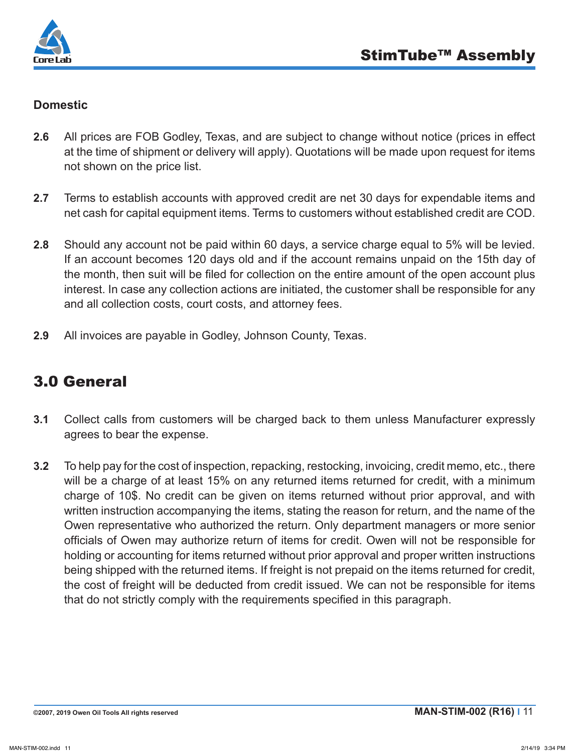

#### **Domestic**

- **2.6** All prices are FOB Godley, Texas, and are subject to change without notice (prices in effect at the time of shipment or delivery will apply). Quotations will be made upon request for items not shown on the price list.
- **2.7** Terms to establish accounts with approved credit are net 30 days for expendable items and net cash for capital equipment items. Terms to customers without established credit are COD.
- **2.8** Should any account not be paid within 60 days, a service charge equal to 5% will be levied. If an account becomes 120 days old and if the account remains unpaid on the 15th day of the month, then suit will be filed for collection on the entire amount of the open account plus interest. In case any collection actions are initiated, the customer shall be responsible for any and all collection costs, court costs, and attorney fees.
- **2.9** All invoices are payable in Godley, Johnson County, Texas.

## 3.0 General

- **3.1** Collect calls from customers will be charged back to them unless Manufacturer expressly agrees to bear the expense.
- **3.2** To help pay for the cost of inspection, repacking, restocking, invoicing, credit memo, etc., there will be a charge of at least 15% on any returned items returned for credit, with a minimum charge of 10\$. No credit can be given on items returned without prior approval, and with written instruction accompanying the items, stating the reason for return, and the name of the Owen representative who authorized the return. Only department managers or more senior officials of Owen may authorize return of items for credit. Owen will not be responsible for holding or accounting for items returned without prior approval and proper written instructions being shipped with the returned items. If freight is not prepaid on the items returned for credit, the cost of freight will be deducted from credit issued. We can not be responsible for items that do not strictly comply with the requirements specified in this paragraph.